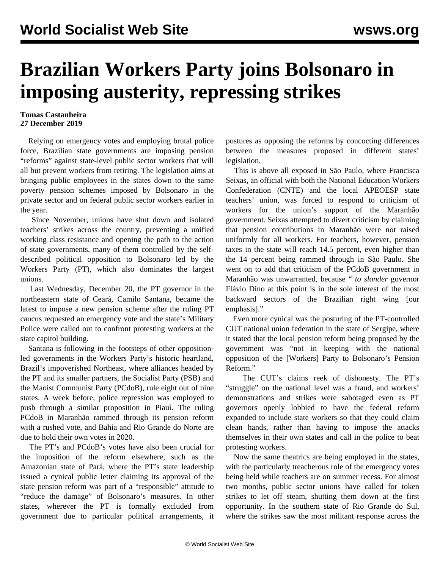## **Brazilian Workers Party joins Bolsonaro in imposing austerity, repressing strikes**

## **Tomas Castanheira 27 December 2019**

 Relying on emergency votes and employing brutal police force, Brazilian state governments are imposing pension "reforms" against state-level public sector workers that will all but prevent workers from retiring. The legislation aims at bringing public employees in the states down to the same poverty pension schemes imposed by Bolsonaro in the private sector and on federal public sector workers earlier in the year.

 Since November, unions have shut down and isolated teachers' strikes across the country, preventing a unified working class resistance and opening the path to the action of state governments, many of them controlled by the selfdescribed political opposition to Bolsonaro led by the Workers Party (PT), which also dominates the largest unions.

 Last Wednesday, December 20, the PT governor in the northeastern state of Ceará, Camilo Santana, became the latest to impose a new pension scheme after the ruling PT caucus requested an emergency vote and the state's Military Police were called out to confront protesting workers at the state capitol building.

 Santana is following in the footsteps of other oppositionled governments in the Workers Party's historic heartland, Brazil's impoverished Northeast, where alliances headed by the PT and its smaller partners, the Socialist Party (PSB) and the Maoist Communist Party (PCdoB), rule eight out of nine states. A week before, police repression was employed to push through a similar proposition in Piauí. The ruling PCdoB in Maranhão rammed through its pension reform with a rushed vote, and Bahia and Rio Grande do Norte are due to hold their own votes in 2020.

 The PT's and PCdoB's votes have also been crucial for the imposition of the reform elsewhere, such as the Amazonian state of Pará, where the PT's state leadership issued a cynical public letter claiming its approval of the state pension reform was part of a "responsible" attitude to "reduce the damage" of Bolsonaro's measures. In other states, wherever the PT is formally excluded from government due to particular political arrangements, it postures as opposing the reforms by concocting differences between the measures proposed in different states' legislation.

 This is above all exposed in São Paulo, where Francisca Seixas, an official with both the National Education Workers Confederation (CNTE) and the local APEOESP state teachers' union, was forced to respond to criticism of workers for the union's support of the Maranhão government. Seixas attempted to divert criticism by claiming that pension contributions in Maranhão were not raised uniformly for all workers. For teachers, however, pension taxes in the state will reach 14.5 percent, even higher than the 14 percent being rammed through in São Paulo. She went on to add that criticism of the PCdoB government in Maranhão was unwarranted, because " *to slander* governor Flávio Dino at this point is in the sole interest of the most backward sectors of the Brazilian right wing [our emphasis]."

 Even more cynical was the posturing of the PT-controlled CUT national union federation in the state of Sergipe, where it stated that the local pension reform being proposed by the government was "not in keeping with the national opposition of the [Workers] Party to Bolsonaro's Pension Reform."

 The CUT's claims reek of dishonesty. The PT's "struggle" on the national level was a fraud, and workers' demonstrations and strikes were sabotaged even as PT governors openly lobbied to have the federal reform expanded to include state workers so that they could claim clean hands, rather than having to impose the attacks themselves in their own states and call in the police to beat protesting workers.

 Now the same theatrics are being employed in the states, with the particularly treacherous role of the emergency votes being held while teachers are on summer recess. For almost two months, public sector unions have called for token strikes to let off steam, shutting them down at the first opportunity. In the southern state of Rio Grande do Sul, where the strikes saw the most militant response across the